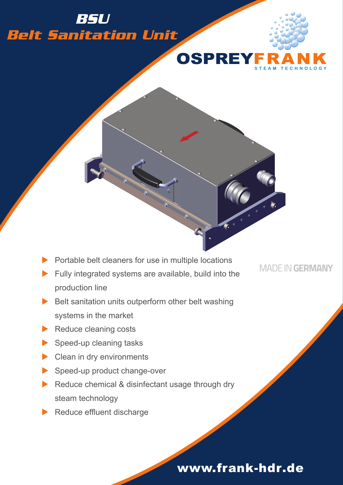## *Belt Sanitation Unit BSU*



**STEAM TECHNOL OGY**

Portable belt cleaners for use in multiple locations

- $\blacktriangleright$  Fully integrated systems are available, build into the production line
- $\blacktriangleright$  Belt sanitation units outperform other belt washing systems in the market
- $\blacktriangleright$  Reduce cleaning costs
- $\blacktriangleright$  Speed-up cleaning tasks
- $\blacktriangleright$  Clean in dry environments
- $\blacktriangleright$  Speed-up product change-over
- $\blacktriangleright$  Reduce chemical & disinfectant usage through dry steam technology
- Reduce effluent discharge

**MADE IN GERMANY** 

## www.frank-hdr.de